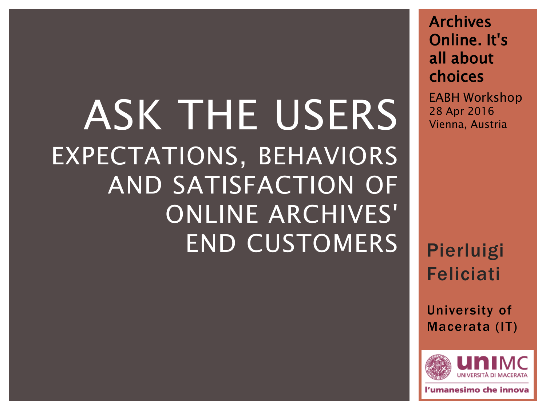## ASK THE USERS **REPORT OF ALSO ADDET** EXPECTATIONS, BEHAVIORS AND SATISFACTION OF ONLINE ARCHIVES' END CUSTOMERS

Archives Online. It's all about choices

EABH Workshop

Pierluigi Feliciati

University of Macerata (IT)



umanesimo che innova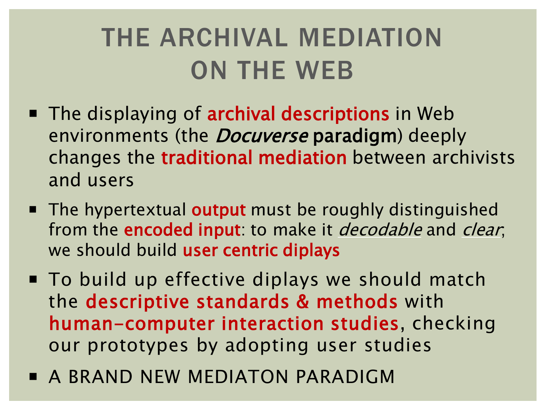### THE ARCHIVAL MEDIATION ON THE WEB

- The displaying of **archival descriptions** in Web environments (the *Docuverse* paradigm) deeply changes the traditional mediation between archivists and users
- The hypertextual output must be roughly distinguished from the **encoded input**: to make it *decodable* and *clear*, we should build user centric diplays
- To build up effective diplays we should match the descriptive standards & methods with human-computer interaction studies, checking our prototypes by adopting user studies
- **A BRAND NEW MEDIATON PARADIGM**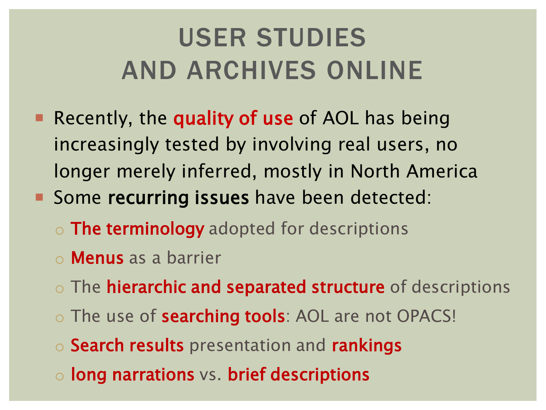### USER STUDIES AND ARCHIVES ONLINE

- Recently, the quality of use of AOL has being increasingly tested by involving real users, no longer merely inferred, mostly in North America
- Some recurring issues have been detected:
	- o **The terminology** adopted for descriptions
	- o Menus as a barrier
	- o The **hierarchic and separated structure** of descriptions
	- o The use of **searching tools**: AOL are not OPACS!
	- o Search results presentation and rankings
	- o long narrations vs. brief descriptions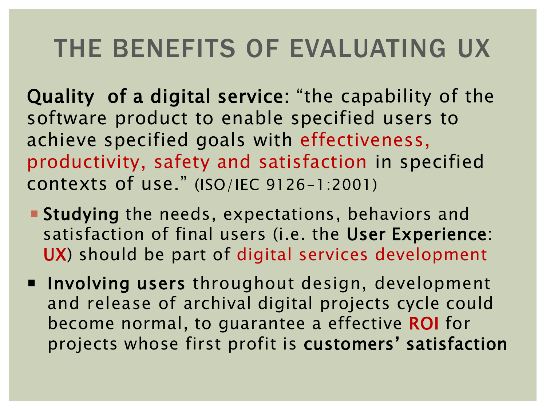### THE BENEFITS OF EVALUATING UX

Quality of a digital service: "the capability of the software product to enable specified users to achieve specified goals with effectiveness, productivity, safety and satisfaction in specified contexts of use." (ISO/IEC 9126-1:2001)

- **Studying** the needs, expectations, behaviors and satisfaction of final users (i.e. the User Experience: UX) should be part of digital services development
- **Involving users** throughout design, development and release of archival digital projects cycle could become normal, to guarantee a effective ROI for projects whose first profit is customers' satisfaction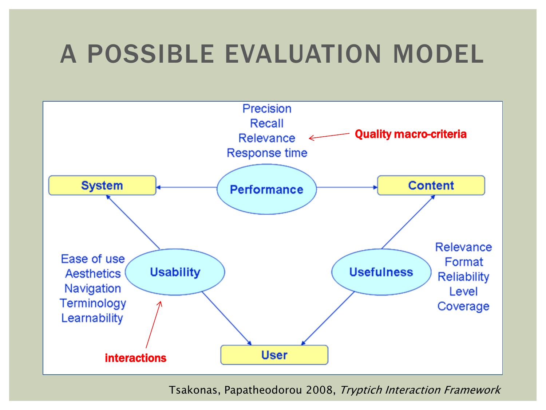### A POSSIBLE EVALUATION MODEL



Tsakonas, Papatheodorou 2008, Tryptich Interaction Framework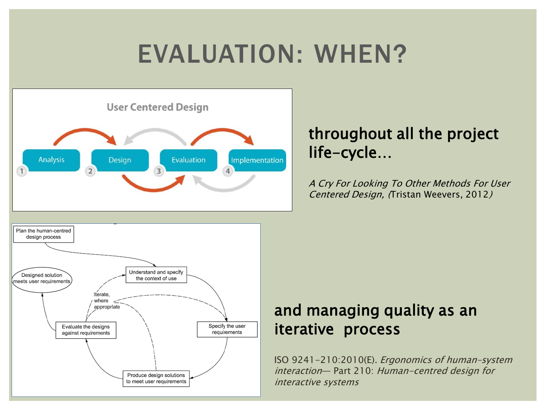### EVALUATION: WHEN?



#### throughout all the project life-cycle…

A Cry For Looking To Other Methods For User Centered Design, (Tristan Weevers, 2012)



#### and managing quality as an iterative process

ISO 9241-210:2010(E). Ergonomics of human–system interaction— Part 210: Human-centred design for interactive systems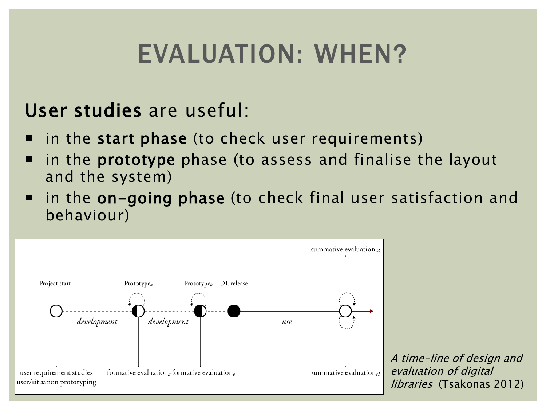### EVALUATION: WHEN?

#### User studies are useful:

- in the start phase (to check user requirements)
- **If all in the prototype** phase (to assess and finalise the layout and the system)
- in the on-going phase (to check final user satisfaction and behaviour)



A time-line of design and evaluation of digital libraries (Tsakonas 2012)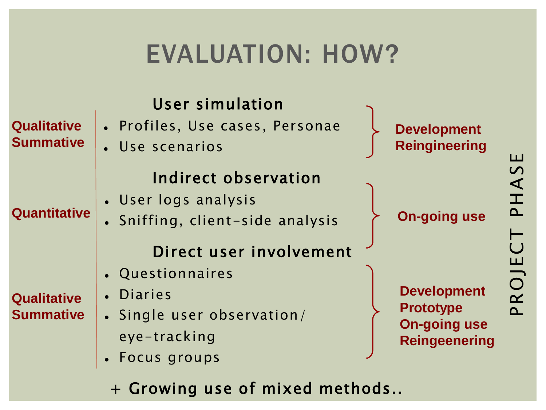### EVALUATION: HOW?

lation

|  | User simulation |  |  |                                 |  |
|--|-----------------|--|--|---------------------------------|--|
|  |                 |  |  | • Profiles, Use cases, Personae |  |

Use scenarios

#### Indirect observation

- User logs analysis
- Sniffing, client-side analysis

#### Direct user involvement

- Questionnaires
- Diaries
- Single user observation/ eye-tracking
	- Focus groups
	- + Growing use of mixed methods..





PHAS

PROJ

**Development Prototype On-going use Reingeenering**

### **Quantitative**

**Qualitative** 

**Summative**

#### **Qualitative Summative**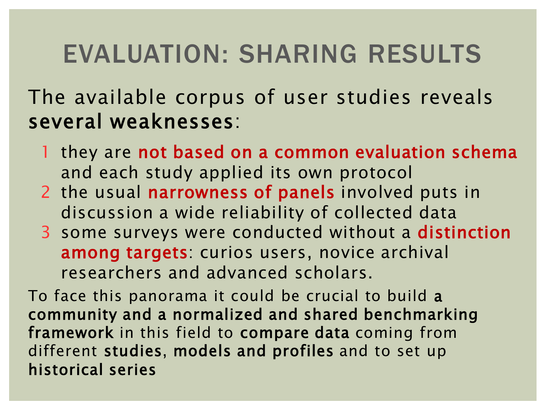### EVALUATION: SHARING RESULTS

The available corpus of user studies reveals several weaknesses:

- 1 they are not based on a common evaluation schema and each study applied its own protocol
- 2 the usual narrowness of panels involved puts in discussion a wide reliability of collected data
- 3 some surveys were conducted without a distinction among targets: curios users, novice archival researchers and advanced scholars.

To face this panorama it could be crucial to build a community and a normalized and shared benchmarking framework in this field to compare data coming from different studies, models and profiles and to set up historical series